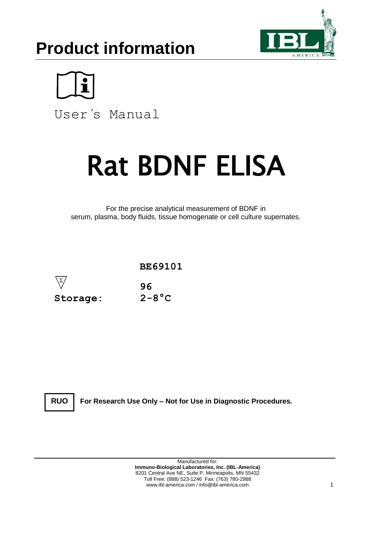# **Product information**





User´s Manual

# Rat BDNF ELISA

For the precise analytical measurement of BDNF in serum, plasma, body fluids, tissue homogenate or cell culture supernates.



**RUO**

**For Research Use Only – Not for Use in Diagnostic Procedures.**

Manufactured for: **Immuno-Biological Laboratories, Inc. (IBL-America)** 8201 Central Ave NE, Suite P, Minneapolis, MN 55432 Toll Free: (888) 523-1246 Fax: (763) 780-2988 www.ibl-america.com / info@ibl-america.com 1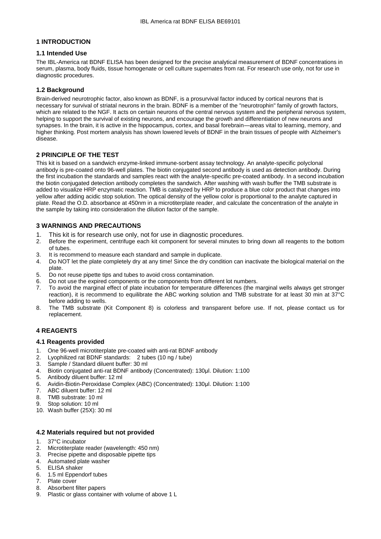# **1 INTRODUCTION**

# **1.1 Intended Use**

The IBL-America rat BDNF ELISA has been designed for the precise analytical measurement of BDNF concentrations in serum, plasma, body fluids, tissue homogenate or cell culture supernates from rat. For research use only, not for use in diagnostic procedures.

# **1.2 Background**

Brain-derived neurotrophic factor, also known as BDNF, is a prosurvival factor induced by cortical neurons that is necessary for survival of striatal neurons in the brain. BDNF is a member of the "neurotrophin" family of growth factors, which are related to the NGF. It acts on certain neurons of the central nervous system and the peripheral nervous system, helping to support the survival of existing neurons, and encourage the growth and differentiation of new neurons and synapses. In the brain, it is active in the hippocampus, cortex, and basal forebrain—areas vital to learning, memory, and higher thinking. Post mortem analysis has shown lowered levels of BDNF in the brain tissues of people with Alzheimer's disease.

# **2 PRINCIPLE OF THE TEST**

This kit is based on a sandwich enzyme-linked immune-sorbent assay technology. An analyte-specific polyclonal antibody is pre-coated onto 96-well plates. The biotin conjugated second antibody is used as detection antibody. During the first incubation the standards and samples react with the analyte-specific pre-coated antibody. In a second incubation the biotin conjugated detection antibody completes the sandwich. After washing with wash buffer the TMB substrate is added to visualize HRP enzymatic reaction. TMB is catalyzed by HRP to produce a blue color product that changes into yellow after adding acidic stop solution. The optical density of the yellow color is proportional to the analyte captured in plate. Read the O.D. absorbance at 450nm in a microtiterplate reader, and calculate the concentration of the analyte in the sample by taking into consideration the dilution factor of the sample.

# **3 WARNINGS AND PRECAUTIONS**

- 1. This kit is for research use only, not for use in diagnostic procedures.
- 2. Before the experiment, centrifuge each kit component for several minutes to bring down all reagents to the bottom of tubes.
- 3. It is recommend to measure each standard and sample in duplicate.<br>4. Do NOT let the plate completely dry at any time! Since the dry condition-
- 4. Do NOT let the plate completely dry at any time! Since the dry condition can inactivate the biological material on the plate.
- 5. Do not reuse pipette tips and tubes to avoid cross contamination.
- 6. Do not use the expired components or the components from different lot numbers.
- 7. To avoid the marginal effect of plate incubation for temperature differences (the marginal wells always get stronger reaction), it is recommend to equilibrate the ABC working solution and TMB substrate for at least 30 min at 37°C before adding to wells.
- 8. The TMB substrate (Kit Component 8) is colorless and transparent before use. If not, please contact us for replacement.

# **4 REAGENTS**

# **4.1 Reagents provided**

- 1. One 96-well microtiterplate pre-coated with anti-rat BDNF antibody
- 2. Lyophilized rat BDNF standards: 2 tubes (10 ng / tube)
- 
- 3. Sample / Standard diluent buffer: 30 ml 4. Biotin conjugated anti-rat BDNF antibody (Concentrated): 130μl. Dilution: 1:100
- 5. Antibody diluent buffer: 12 ml
- 6. Avidin-Biotin-Peroxidase Complex (ABC) (Concentrated): 130μl. Dilution: 1:100
- 7. ABC diluent buffer: 12 ml
- 8. TMB substrate: 10 ml
- 9. Stop solution: 10 ml
- 10. Wash buffer (25X): 30 ml

# **4.2 Materials required but not provided**

- 1. 37°C incubator<br>2. Microtiterplate
- Microtiterplate reader (wavelength: 450 nm)
- 3. Precise pipette and disposable pipette tips
- 4. Automated plate washer<br>5. ELISA shaker
- 5. ELISA shaker
- 6. 1.5 ml Eppendorf tubes
- 7. Plate cover
- 8. Absorbent filter papers 9. Plastic or glass container with volume of above 1 L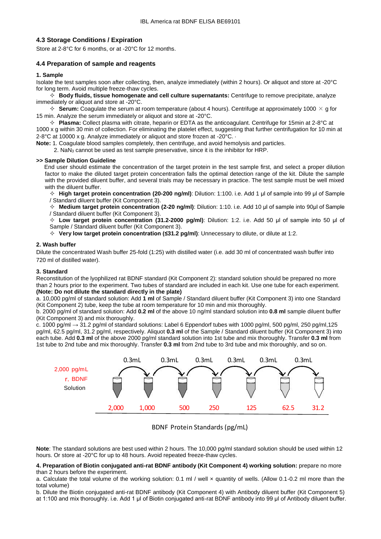# **4.3 Storage Conditions / Expiration**

Store at 2-8°C for 6 months, or at -20°C for 12 months.

# **4.4 Preparation of sample and reagents**

#### **1. Sample**

Isolate the test samples soon after collecting, then, analyze immediately (within 2 hours). Or aliquot and store at -20°C for long term. Avoid multiple freeze-thaw cycles.

 **Body fluids, tissue homogenate and cell culture supernatants:** Centrifuge to remove precipitate, analyze immediately or aliquot and store at -20°C.

 $\div$  **Serum:** Coagulate the serum at room temperature (about 4 hours). Centrifuge at approximately 1000  $\times$  g for 15 min. Analyze the serum immediately or aliquot and store at -20°C.

 **Plasma:** Collect plasma with citrate, heparin or EDTA as the anticoagulant. Centrifuge for 15min at 2-8°C at 1000 x g within 30 min of collection. For eliminating the platelet effect, suggesting that further centrifugation for 10 min at 2-8°C at 10000 x g. Analyze immediately or aliquot and store frozen at -20°C. ·

**Note:** 1. Coagulate blood samples completely, then centrifuge, and avoid hemolysis and particles.

2. NaN<sup>3</sup> cannot be used as test sample preservative, since it is the inhibitor for HRP.

#### **>> Sample Dilution Guideline**

End user should estimate the concentration of the target protein in the test sample first, and select a proper dilution factor to make the diluted target protein concentration falls the optimal detection range of the kit. Dilute the sample with the provided diluent buffer, and several trials may be necessary in practice. The test sample must be well mixed with the diluent buffer.

 **High target protein concentration (20-200 ng/ml)**: Dilution: 1:100. i.e. Add 1 μl of sample into 99 μl of Sample / Standard diluent buffer (Kit Component 3).

 **Medium target protein concentration (2-20 ng/ml)**: Dilution: 1:10. i.e. Add 10 μl of sample into 90μl of Sample / Standard diluent buffer (Kit Component 3).

 **Low target protein concentration (31.2-2000 pg/ml)**: Dilution: 1:2. i.e. Add 50 μl of sample into 50 μl of Sample / Standard diluent buffer (Kit Component 3).

**Very low target protein concentration (≤31.2 pg/ml)**: Unnecessary to dilute, or dilute at 1:2.

#### **2. Wash buffer**

Dilute the concentrated Wash buffer 25-fold (1:25) with distilled water (i.e. add 30 ml of concentrated wash buffer into 720 ml of distilled water).

#### **3. Standard**

Reconstitution of the lyophilized rat BDNF standard (Kit Component 2): standard solution should be prepared no more than 2 hours prior to the experiment. Two tubes of standard are included in each kit. Use one tube for each experiment. **(Note: Do not dilute the standard directly in the plate)**

a. 10,000 pg/ml of standard solution: Add **1 ml** of Sample / Standard diluent buffer (Kit Component 3) into one Standard (Kit Component 2) tube, keep the tube at room temperature for 10 min and mix thoroughly.

b. 2000 pg/ml of standard solution: Add **0.2 ml** of the above 10 ng/ml standard solution into **0.8 ml** sample diluent buffer (Kit Component 3) and mix thoroughly.

c. 1000 pg/ml  $\rightarrow$  31.2 pg/ml of standard solutions: Label 6 Eppendorf tubes with 1000 pg/ml, 500 pg/ml, 250 pg/ml, 125 pg/ml, 62.5 pg/ml, 31.2 pg/ml, respectively. Aliquot **0.3 ml** of the Sample / Standard diluent buffer (Kit Component 3) into each tube. Add **0.3 ml** of the above 2000 pg/ml standard solution into 1st tube and mix thoroughly. Transfer **0.3 ml** from 1st tube to 2nd tube and mix thoroughly. Transfer **0.3 ml** from 2nd tube to 3rd tube and mix thoroughly, and so on.



BDNF Protein Standards (pg/mL)

**Note**: The standard solutions are best used within 2 hours. The 10,000 pg/ml standard solution should be used within 12 hours. Or store at -20°C for up to 48 hours. Avoid repeated freeze-thaw cycles.

#### **4. Preparation of Biotin conjugated anti-rat BDNF antibody (Kit Component 4) working solution:** prepare no more than 2 hours before the experiment.

a. Calculate the total volume of the working solution: 0.1 ml / well x quantity of wells. (Allow 0.1-0.2 ml more than the total volume)

b. Dilute the Biotin conjugated anti-rat BDNF antibody (Kit Component 4) with Antibody diluent buffer (Kit Component 5) at 1:100 and mix thoroughly. i.e. Add 1 μl of Biotin conjugated anti-rat BDNF antibody into 99 μl of Antibody diluent buffer.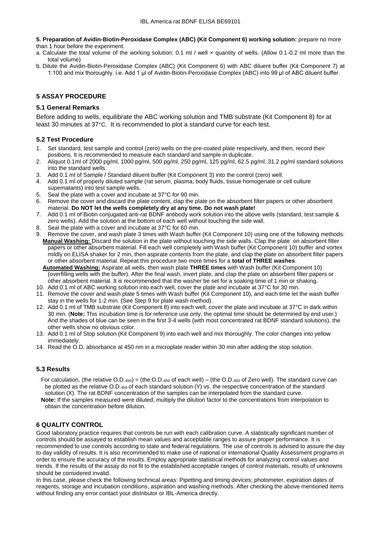**5. Preparation of Avidin-Biotin-Peroxidase Complex (ABC) (Kit Component 6) working solution:** prepare no more than 1 hour before the experiment.

a. Calculate the total volume of the working solution: 0.1 ml / well x quantity of wells. (Allow 0.1-0.2 ml more than the total volume)

b. Dilute the Avidin-Biotin-Peroxidase Complex (ABC) (Kit Component 6) with ABC diluent buffer (Kit Component 7) at 1:100 and mix thoroughly. i.e. Add 1 μl of Avidin-Biotin-Peroxidase Complex (ABC) into 99 μl of ABC diluent buffer.

# **5 ASSAY PROCEDURE**

## **5.1 General Remarks**

Before adding to wells, equilibrate the ABC working solution and TMB substrate (Kit Component 8) for at least 30 minutes at 37°C. It is recommended to plot a standard curve for each test.

# **5.2 Test Procedure**

- 1. Set standard, test sample and control (zero) wells on the pre-coated plate respectively, and then, record their positions. It is recommended to measure each standard and sample in duplicate.
- 2. Aliquot 0.1ml of 2000 pg/ml, 1000 pg/ml, 500 pg/ml, 250 pg/ml, 125 pg/ml, 62.5 pg/ml, 31.2 pg/ml standard solutions into the standard wells.
- 3. Add 0.1 ml of Sample / Standard diluent buffer (Kit Component 3) into the control (zero) well.
- 4. Add 0.1 ml of properly diluted sample (rat serum, plasma, body fluids, tissue homogenate or cell culture supernatants) into test sample wells.
- 5. Seal the plate with a cover and incubate at 37°C for 90 min.
- 6. Remove the cover and discard the plate content, clap the plate on the absorbent filter papers or other absorbent material. **Do NOT let the wells completely dry at any time. Do not wash plate!**
- 7. Add 0.1 ml of Biotin conjugated anti-rat BDNF antibody work solution into the above wells (standard, test sample & zero wells). Add the solution at the bottom of each well without touching the side wall.
- 8. Seal the plate with a cover and incubate at 37°C for 60 min.
- 9. Remove the cover, and wash plate 3 times with Wash buffer (Kit Component 10) using one of the following methods: **Manual Washing:** Discard the solution in the plate without touching the side walls. Clap the plate on absorbent filter papers or other absorbent material. Fill each well completely with Wash buffer (Kit Component 10) buffer and vortex mildly on ELISA shaker for 2 min, then aspirate contents from the plate, and clap the plate on absorbent filter papers or other absorbent material. Repeat this procedure two more times for a **total of THREE washes**.
	- **Automated Washing:** Aspirate all wells, then wash plate **THREE times** with Wash buffer (Kit Component 10) (overfilling wells with the buffer). After the final wash, invert plate, and clap the plate on absorbent filter papers or other absorbent material. It is recommended that the washer be set for a soaking time of 1 min or shaking.
- 10. Add 0.1 ml of ABC working solution into each well, cover the plate and incubate at 37°C for 30 min.
- 11. Remove the cover and wash plate 5 times with Wash buffer (Kit Component 10), and each time let the wash buffer stay in the wells for 1-2 min. (See Step 9 for plate wash method).
- 12. Add 0.1 ml of TMB substrate (Kit Component 8) into each well, cover the plate and incubate at 37°C in dark within 30 min. (**Note:** This incubation time is for reference use only, the optimal time should be determined by end user.) And the shades of blue can be seen in the first 3-4 wells (with most concentrated rat BDNF standard solutions), the other wells show no obvious color.
- 13. Add 0.1 ml of Stop solution (Kit Component 9) into each well and mix thoroughly. The color changes into yellow immediately.
- 14. Read the O.D. absorbance at 450 nm in a microplate reader within 30 min after adding the stop solution.

# **5.3 Results**

- For calculation, (the relative  $O.D.450$ ) = (the  $O.D.450$  of each well) (the  $O.D.450$  of Zero well). The standard curve can be plotted as the relative O.D.450 of each standard solution (Y) vs. the respective concentration of the standard solution (X). The rat BDNF concentration of the samples can be interpolated from the standard curve.  **Note:** If the samples measured were diluted, multiply the dilution factor to the concentrations from interpolation to
- obtain the concentration before dilution.

# **6 QUALITY CONTROL**

Good laboratory practice requires that controls be run with each calibration curve. A statistically significant number of controls should be assayed to establish mean values and acceptable ranges to assure proper performance. It is recommended to use controls according to state and federal regulations. The use of controls is advised to assure the day to day validity of results. It is also recommended to make use of national or international Quality Assessment programs in order to ensure the accuracy of the results. Employ appropriate statistical methods for analyzing control values and trends. If the results of the assay do not fit to the established acceptable ranges of control materials, results of unknowns should be considered invalid.

In this case, please check the following technical areas: Pipetting and timing devices; photometer, expiration dates of reagents, storage and incubation conditions, aspiration and washing methods. After checking the above mentioned items without finding any error contact your distributor or IBL-America directly.